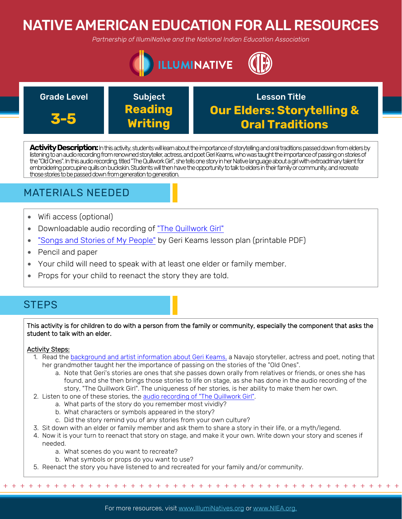# NATIVE AMERICAN EDUCATION FOR ALL RESOURCES

*Partnership of IllumiNative and the National Indian Education Association*



**3-5**

Subject **Reading Writing**

Grade Level **Construct Construct Construct** Crasson Title **Our Elders: Storytelling & Oral Traditions**

**Activity Description:** In this activity, students will learn about the importance of storytelling and oral traditions passed down from elders by listening to an audio recording from renowned storyteller, actress, and poet Geri Keams, who was taught the importance of passing on stories of the "Old Ones". In this audio recording, titled "The Quillwork Girl", she tells one story in her Native language about a girl with extroadrinary talent for embroidering porcupine quills on buckskin. Students will then have the opportunity to talk to elders in their family or community, and recreate those stories to be passed down from generation to generation.

## MATERIALS NEEDED

- Wifi access (optional)
- Downloadable audio recording of ["The Quillwork Girl"](https://sharemylesson.com/teaching-resource/geri-keams-native-american-storyteller-264859)
- ["Songs and Stories of My People"](https://sharemylesson.com/teaching-resource/geri-keams-native-american-storyteller-264859) by Geri Keams lesson plan (printable PDF)
- Pencil and paper
- Your child will need to speak with at least one elder or family member.
- Props for your child to reenact the story they are told.

## **STEPS**

This activity is for children to do with a person from the family or community, especially the component that asks the student to talk with an elder.

### Activity Steps:

- 1. Read the [background and artist information about Geri Keams,](https://sharemylesson.com/teaching-resource/geri-keams-native-american-storyteller-264859) a Navajo storyteller, actress and poet, noting that her grandmother taught her the importance of passing on the stories of the "Old Ones".
	- a. Note that Geri's stories are ones that she passes down orally from relatives or friends, or ones she has found, and she then brings those stories to life on stage, as she has done in the audio recording of the story, "The Quillwork Girl". The uniqueness of her stories, is her ability to make them her own.
- 2. Listen to one of these stories, the [audio recording of "The Quillwork Girl"](https://sharemylesson.com/teaching-resource/geri-keams-native-american-storyteller-264859).
	- a. What parts of the story do you remember most vividly?
		- b. What characters or symbols appeared in the story?
	- c. Did the story remind you of any stories from your own culture?
- 3. Sit down with an elder or family member and ask them to share a story in their life, or a myth/legend.
- 4. Now it is your turn to reenact that story on stage, and make it your own. Write down your story and scenes if needed.
	- a. What scenes do you want to recreate?
	- b. What symbols or props do you want to use?
- 5. Reenact the story you have listened to and recreated for your family and/or community.

For more resources, visit www.lllumiNatives.org or www.NIEA.org.

+ + + + + + + + + + + + + + + + + + + + + + + + + + + + + + + + + + + + + + + + + + + + + + + +